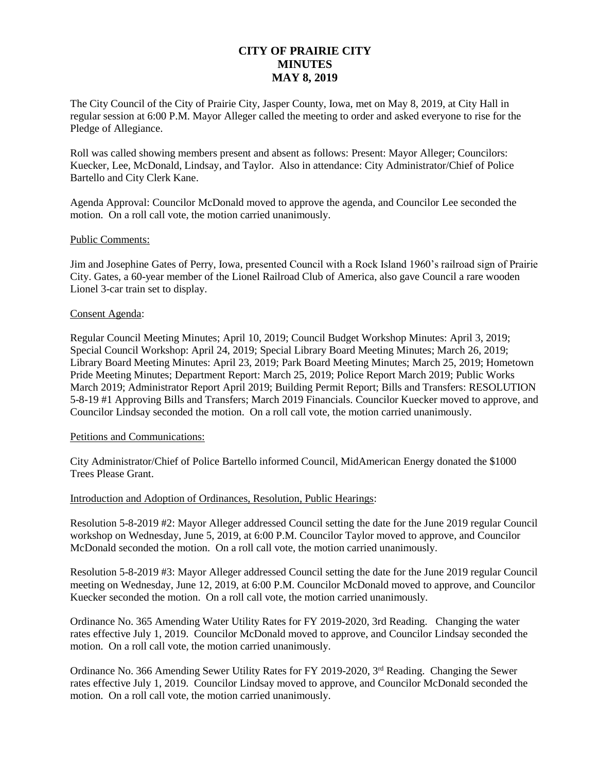# **CITY OF PRAIRIE CITY MINUTES MAY 8, 2019**

The City Council of the City of Prairie City, Jasper County, Iowa, met on May 8, 2019, at City Hall in regular session at 6:00 P.M. Mayor Alleger called the meeting to order and asked everyone to rise for the Pledge of Allegiance.

Roll was called showing members present and absent as follows: Present: Mayor Alleger; Councilors: Kuecker, Lee, McDonald, Lindsay, and Taylor. Also in attendance: City Administrator/Chief of Police Bartello and City Clerk Kane.

Agenda Approval: Councilor McDonald moved to approve the agenda, and Councilor Lee seconded the motion. On a roll call vote, the motion carried unanimously.

# Public Comments:

Jim and Josephine Gates of Perry, Iowa, presented Council with a Rock Island 1960's railroad sign of Prairie City. Gates, a 60-year member of the Lionel Railroad Club of America, also gave Council a rare wooden Lionel 3-car train set to display.

#### Consent Agenda:

Regular Council Meeting Minutes; April 10, 2019; Council Budget Workshop Minutes: April 3, 2019; Special Council Workshop: April 24, 2019; Special Library Board Meeting Minutes; March 26, 2019; Library Board Meeting Minutes: April 23, 2019; Park Board Meeting Minutes; March 25, 2019; Hometown Pride Meeting Minutes; Department Report: March 25, 2019; Police Report March 2019; Public Works March 2019; Administrator Report April 2019; Building Permit Report; Bills and Transfers: RESOLUTION 5-8-19 #1 Approving Bills and Transfers; March 2019 Financials. Councilor Kuecker moved to approve, and Councilor Lindsay seconded the motion. On a roll call vote, the motion carried unanimously.

#### Petitions and Communications:

City Administrator/Chief of Police Bartello informed Council, MidAmerican Energy donated the \$1000 Trees Please Grant.

# Introduction and Adoption of Ordinances, Resolution, Public Hearings:

Resolution 5-8-2019 #2: Mayor Alleger addressed Council setting the date for the June 2019 regular Council workshop on Wednesday, June 5, 2019, at 6:00 P.M. Councilor Taylor moved to approve, and Councilor McDonald seconded the motion. On a roll call vote, the motion carried unanimously.

Resolution 5-8-2019 #3: Mayor Alleger addressed Council setting the date for the June 2019 regular Council meeting on Wednesday, June 12, 2019, at 6:00 P.M. Councilor McDonald moved to approve, and Councilor Kuecker seconded the motion. On a roll call vote, the motion carried unanimously.

Ordinance No. 365 Amending Water Utility Rates for FY 2019-2020, 3rd Reading. Changing the water rates effective July 1, 2019. Councilor McDonald moved to approve, and Councilor Lindsay seconded the motion. On a roll call vote, the motion carried unanimously.

Ordinance No. 366 Amending Sewer Utility Rates for FY 2019-2020, 3<sup>rd</sup> Reading. Changing the Sewer rates effective July 1, 2019. Councilor Lindsay moved to approve, and Councilor McDonald seconded the motion. On a roll call vote, the motion carried unanimously.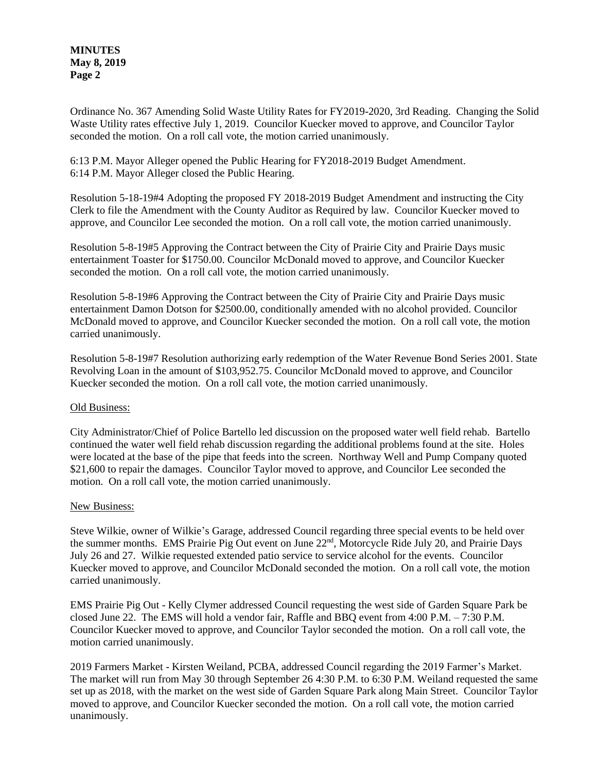**MINUTES May 8, 2019 Page 2**

Ordinance No. 367 Amending Solid Waste Utility Rates for FY2019-2020, 3rd Reading. Changing the Solid Waste Utility rates effective July 1, 2019. Councilor Kuecker moved to approve, and Councilor Taylor seconded the motion. On a roll call vote, the motion carried unanimously.

6:13 P.M. Mayor Alleger opened the Public Hearing for FY2018-2019 Budget Amendment. 6:14 P.M. Mayor Alleger closed the Public Hearing.

Resolution 5-18-19#4 Adopting the proposed FY 2018-2019 Budget Amendment and instructing the City Clerk to file the Amendment with the County Auditor as Required by law. Councilor Kuecker moved to approve, and Councilor Lee seconded the motion. On a roll call vote, the motion carried unanimously.

Resolution 5-8-19#5 Approving the Contract between the City of Prairie City and Prairie Days music entertainment Toaster for \$1750.00. Councilor McDonald moved to approve, and Councilor Kuecker seconded the motion. On a roll call vote, the motion carried unanimously.

Resolution 5-8-19#6 Approving the Contract between the City of Prairie City and Prairie Days music entertainment Damon Dotson for \$2500.00, conditionally amended with no alcohol provided. Councilor McDonald moved to approve, and Councilor Kuecker seconded the motion. On a roll call vote, the motion carried unanimously.

Resolution 5-8-19#7 Resolution authorizing early redemption of the Water Revenue Bond Series 2001. State Revolving Loan in the amount of \$103,952.75. Councilor McDonald moved to approve, and Councilor Kuecker seconded the motion. On a roll call vote, the motion carried unanimously.

# Old Business:

City Administrator/Chief of Police Bartello led discussion on the proposed water well field rehab. Bartello continued the water well field rehab discussion regarding the additional problems found at the site. Holes were located at the base of the pipe that feeds into the screen. Northway Well and Pump Company quoted \$21,600 to repair the damages. Councilor Taylor moved to approve, and Councilor Lee seconded the motion. On a roll call vote, the motion carried unanimously.

# New Business:

Steve Wilkie, owner of Wilkie's Garage, addressed Council regarding three special events to be held over the summer months. EMS Prairie Pig Out event on June 22<sup>nd</sup>, Motorcycle Ride July 20, and Prairie Days July 26 and 27. Wilkie requested extended patio service to service alcohol for the events. Councilor Kuecker moved to approve, and Councilor McDonald seconded the motion. On a roll call vote, the motion carried unanimously.

EMS Prairie Pig Out - Kelly Clymer addressed Council requesting the west side of Garden Square Park be closed June 22. The EMS will hold a vendor fair, Raffle and BBQ event from 4:00 P.M. – 7:30 P.M. Councilor Kuecker moved to approve, and Councilor Taylor seconded the motion. On a roll call vote, the motion carried unanimously.

2019 Farmers Market - Kirsten Weiland, PCBA, addressed Council regarding the 2019 Farmer's Market. The market will run from May 30 through September 26 4:30 P.M. to 6:30 P.M. Weiland requested the same set up as 2018, with the market on the west side of Garden Square Park along Main Street. Councilor Taylor moved to approve, and Councilor Kuecker seconded the motion. On a roll call vote, the motion carried unanimously.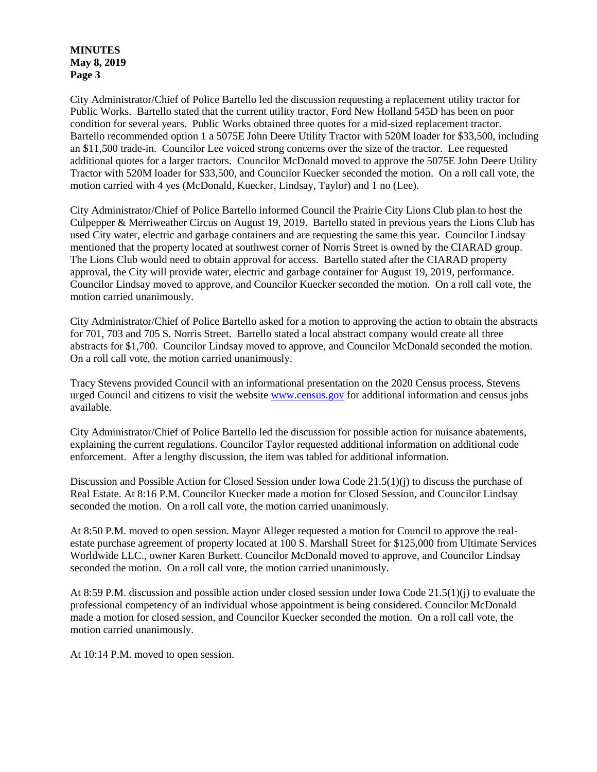#### **MINUTES May 8, 2019 Page 3**

City Administrator/Chief of Police Bartello led the discussion requesting a replacement utility tractor for Public Works. Bartello stated that the current utility tractor, Ford New Holland 545D has been on poor condition for several years. Public Works obtained three quotes for a mid-sized replacement tractor. Bartello recommended option 1 a 5075E John Deere Utility Tractor with 520M loader for \$33,500, including an \$11,500 trade-in. Councilor Lee voiced strong concerns over the size of the tractor. Lee requested additional quotes for a larger tractors. Councilor McDonald moved to approve the 5075E John Deere Utility Tractor with 520M loader for \$33,500, and Councilor Kuecker seconded the motion. On a roll call vote, the motion carried with 4 yes (McDonald, Kuecker, Lindsay, Taylor) and 1 no (Lee).

City Administrator/Chief of Police Bartello informed Council the Prairie City Lions Club plan to host the Culpepper & Merriweather Circus on August 19, 2019. Bartello stated in previous years the Lions Club has used City water, electric and garbage containers and are requesting the same this year. Councilor Lindsay mentioned that the property located at southwest corner of Norris Street is owned by the CIARAD group. The Lions Club would need to obtain approval for access. Bartello stated after the CIARAD property approval, the City will provide water, electric and garbage container for August 19, 2019, performance. Councilor Lindsay moved to approve, and Councilor Kuecker seconded the motion. On a roll call vote, the motion carried unanimously.

City Administrator/Chief of Police Bartello asked for a motion to approving the action to obtain the abstracts for 701, 703 and 705 S. Norris Street. Bartello stated a local abstract company would create all three abstracts for \$1,700. Councilor Lindsay moved to approve, and Councilor McDonald seconded the motion. On a roll call vote, the motion carried unanimously.

Tracy Stevens provided Council with an informational presentation on the 2020 Census process. Stevens urged Council and citizens to visit the website [www.census.gov](http://www.census.gov/) for additional information and census jobs available.

City Administrator/Chief of Police Bartello led the discussion for possible action for nuisance abatements, explaining the current regulations. Councilor Taylor requested additional information on additional code enforcement. After a lengthy discussion, the item was tabled for additional information.

Discussion and Possible Action for Closed Session under Iowa Code 21.5(1)(j) to discuss the purchase of Real Estate. At 8:16 P.M. Councilor Kuecker made a motion for Closed Session, and Councilor Lindsay seconded the motion. On a roll call vote, the motion carried unanimously.

At 8:50 P.M. moved to open session. Mayor Alleger requested a motion for Council to approve the realestate purchase agreement of property located at 100 S. Marshall Street for \$125,000 from Ultimate Services Worldwide LLC., owner Karen Burkett. Councilor McDonald moved to approve, and Councilor Lindsay seconded the motion. On a roll call vote, the motion carried unanimously.

At 8:59 P.M. discussion and possible action under closed session under Iowa Code 21.5(1)(j) to evaluate the professional competency of an individual whose appointment is being considered. Councilor McDonald made a motion for closed session, and Councilor Kuecker seconded the motion. On a roll call vote, the motion carried unanimously.

At 10:14 P.M. moved to open session.